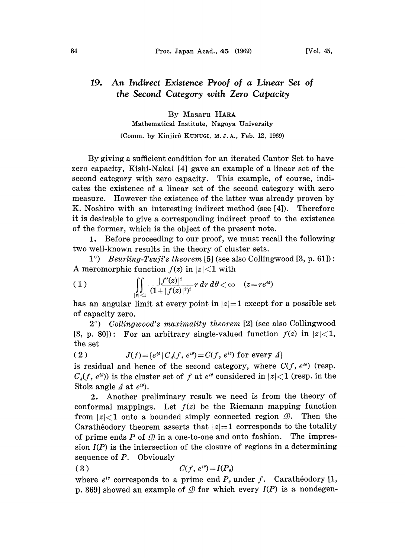## An Indirect Existence Proof of a Linear Set of 19. the Second Category with Zero Capacity

By Masaru HARA Mathematical Institute, Nagoya University

(Comm. by Kinjirô KUNUGI, M.J.A., Feb. 12, 1969)

By giving a sufficient condition for an iterated Cantor Set to have zero capacity, Kishi-Nakai [4] gave an example of a linear set of the second category with zero capacity. This example, of course, indicates the existence of a linear set of the second category with zero measure. However the existence of the latter was already proven by K. Noshiro with an interesting indirect method (see [4]). Therefore it is desirable to give a corresponding indirect proof to the existence of the former, which is the object of the present note.

1. Before proceeding to our proof, we must recall the following two well-known results in the theory of cluster sets.

 $1^{\circ}$  Beurling-Tsuji's theorem [5] (see also Collingwood [3, p. 61]): A meromorphic function  $f(z)$  in  $|z|$  \le 1 with

(1) 
$$
\iint_{|z| < 1} \frac{|f'(z)|^2}{(1+|f(z)|^2)^2} r dr d\theta < \infty \quad (z = re^{i\theta})
$$

has an angular limit at every point in  $|z|=1$  except for a possible set of capacity zero.

 $2^{\circ}$ ) Collingwood's maximality theorem [2] (see also Collingwood [3, p. 80]): For an arbitrary single-valued function  $f(z)$  in  $|z|<1$ , the set

(2)  $J(f) = \{e^{i\theta} | C_A(f, e^{i\theta}) = C(f, e^{i\theta}) \text{ for every } A\}$ 

is residual and hence of the second category, where  $C(f, e^{i\theta})$  (resp.  $C_{\underline{A}}(f, e^{i\theta})$  is the cluster set of f at  $e^{i\theta}$  considered in  $|z|<1$  (resp. in the Stolz angle  $\Delta$  at  $e^{i\theta}$ .

2. Another preliminary result we need is from the theory of conformal mappings. Let  $f(z)$  be the Riemann mapping function from  $|z|<1$  onto a bounded simply connected region  $\mathcal{D}$ . Then the Caratheodory theorem asserts that  $|z|=1$  corresponds to the totality of prime ends P of  $\mathcal Q$  in a one-to-one and onto fashion. The impression  $I(P)$  is the intersection of the closure of regions in a determining sequence of  $P$ . Obviously

$$
(3) \t C(f, e^{i\theta}) = I(P_{\theta})
$$

where  $e^{i\theta}$  corresponds to a prime end  $P_{\theta}$  under f. Caratheodory [1, p. 369] showed an example of  $D$  for which every  $I(P)$  is a nondegen